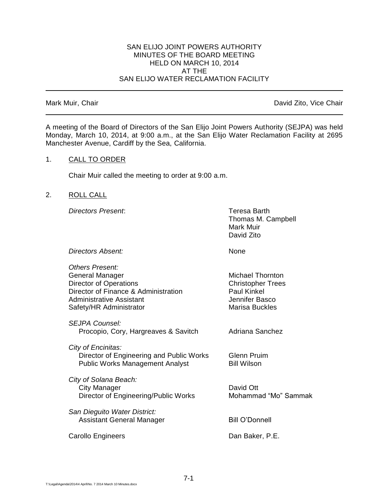#### SAN ELIJO JOINT POWERS AUTHORITY MINUTES OF THE BOARD MEETING HELD ON MARCH 10, 2014 AT THE SAN ELIJO WATER RECLAMATION FACILITY

Mark Muir, Chair **David Zito, Vice Chair** David Zito, Vice Chair

A meeting of the Board of Directors of the San Elijo Joint Powers Authority (SEJPA) was held Monday, March 10, 2014, at 9:00 a.m., at the San Elijo Water Reclamation Facility at 2695 Manchester Avenue, Cardiff by the Sea, California.

#### 1. CALL TO ORDER

Chair Muir called the meeting to order at 9:00 a.m.

## 2. ROLL CALL

*Directors Present*: Teresa Barth

Thomas M. Campbell Mark Muir David Zito

*Directors Absent:* None

| Others Present:<br>General Manager<br><b>Director of Operations</b><br>Director of Finance & Administration<br>Administrative Assistant<br>Safety/HR Administrator | <b>Michael Thornton</b><br><b>Christopher Trees</b><br>Paul Kinkel<br>Jennifer Basco<br>Marisa Buckles |
|--------------------------------------------------------------------------------------------------------------------------------------------------------------------|--------------------------------------------------------------------------------------------------------|
| SEJPA Counsel:<br>Procopio, Cory, Hargreaves & Savitch                                                                                                             | Adriana Sanchez                                                                                        |
| City of Encinitas:<br>Director of Engineering and Public Works<br><b>Public Works Management Analyst</b>                                                           | <b>Glenn Pruim</b><br><b>Bill Wilson</b>                                                               |
| City of Solana Beach:<br>City Manager<br>Director of Engineering/Public Works                                                                                      | David Ott<br>Mohammad "Mo" Sammak                                                                      |
| San Dieguito Water District:<br>Assistant General Manager                                                                                                          | <b>Bill O'Donnell</b>                                                                                  |
| Carollo Engineers                                                                                                                                                  | Dan Baker, P.E.                                                                                        |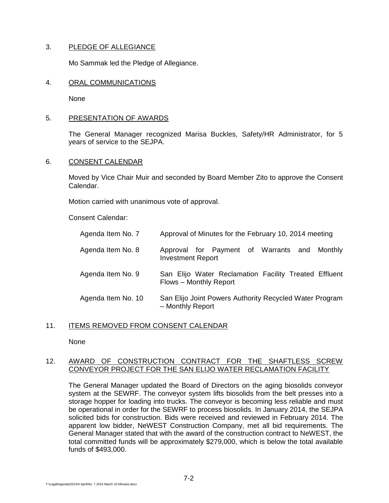# 3. PLEDGE OF ALLEGIANCE

Mo Sammak led the Pledge of Allegiance.

#### 4. ORAL COMMUNICATIONS

None

## 5. PRESENTATION OF AWARDS

The General Manager recognized Marisa Buckles, Safety/HR Administrator, for 5 years of service to the SEJPA.

## 6. CONSENT CALENDAR

Moved by Vice Chair Muir and seconded by Board Member Zito to approve the Consent Calendar.

Motion carried with unanimous vote of approval.

Consent Calendar:

| Agenda Item No. 7  | Approval of Minutes for the February 10, 2014 meeting                           |
|--------------------|---------------------------------------------------------------------------------|
| Agenda Item No. 8  | Approval for Payment of Warrants and Monthly<br><b>Investment Report</b>        |
| Agenda Item No. 9  | San Elijo Water Reclamation Facility Treated Effluent<br>Flows - Monthly Report |
| Agenda Item No. 10 | San Elijo Joint Powers Authority Recycled Water Program<br>- Monthly Report     |

#### 11. ITEMS REMOVED FROM CONSENT CALENDAR

None

## 12. AWARD OF CONSTRUCTION CONTRACT FOR THE SHAFTLESS SCREW CONVEYOR PROJECT FOR THE SAN ELIJO WATER RECLAMATION FACILITY

The General Manager updated the Board of Directors on the aging biosolids conveyor system at the SEWRF. The conveyor system lifts biosolids from the belt presses into a storage hopper for loading into trucks. The conveyor is becoming less reliable and must be operational in order for the SEWRF to process biosolids. In January 2014, the SEJPA solicited bids for construction. Bids were received and reviewed in February 2014. The apparent low bidder, NeWEST Construction Company, met all bid requirements. The General Manager stated that with the award of the construction contract to NeWEST, the total committed funds will be approximately \$279,000, which is below the total available funds of \$493,000.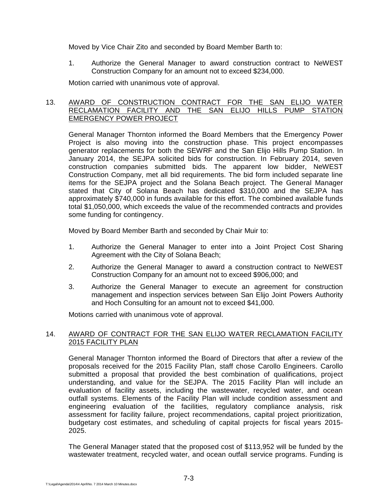Moved by Vice Chair Zito and seconded by Board Member Barth to:

1. Authorize the General Manager to award construction contract to NeWEST Construction Company for an amount not to exceed \$234,000.

Motion carried with unanimous vote of approval.

## 13. AWARD OF CONSTRUCTION CONTRACT FOR THE SAN ELIJO WATER RECLAMATION FACILITY AND THE SAN ELIJO HILLS PUMP STATION EMERGENCY POWER PROJECT

General Manager Thornton informed the Board Members that the Emergency Power Project is also moving into the construction phase. This project encompasses generator replacements for both the SEWRF and the San Elijo Hills Pump Station. In January 2014, the SEJPA solicited bids for construction. In February 2014, seven construction companies submitted bids. The apparent low bidder, NeWEST Construction Company, met all bid requirements. The bid form included separate line items for the SEJPA project and the Solana Beach project. The General Manager stated that City of Solana Beach has dedicated \$310,000 and the SEJPA has approximately \$740,000 in funds available for this effort. The combined available funds total \$1,050,000, which exceeds the value of the recommended contracts and provides some funding for contingency.

Moved by Board Member Barth and seconded by Chair Muir to:

- 1. Authorize the General Manager to enter into a Joint Project Cost Sharing Agreement with the City of Solana Beach;
- 2. Authorize the General Manager to award a construction contract to NeWEST Construction Company for an amount not to exceed \$906,000; and
- 3. Authorize the General Manager to execute an agreement for construction management and inspection services between San Elijo Joint Powers Authority and Hoch Consulting for an amount not to exceed \$41,000.

Motions carried with unanimous vote of approval.

# 14. AWARD OF CONTRACT FOR THE SAN ELIJO WATER RECLAMATION FACILITY 2015 FACILITY PLAN

General Manager Thornton informed the Board of Directors that after a review of the proposals received for the 2015 Facility Plan, staff chose Carollo Engineers. Carollo submitted a proposal that provided the best combination of qualifications, project understanding, and value for the SEJPA. The 2015 Facility Plan will include an evaluation of facility assets, including the wastewater, recycled water, and ocean outfall systems. Elements of the Facility Plan will include condition assessment and engineering evaluation of the facilities, regulatory compliance analysis, risk assessment for facility failure, project recommendations, capital project prioritization, budgetary cost estimates, and scheduling of capital projects for fiscal years 2015- 2025.

The General Manager stated that the proposed cost of \$113,952 will be funded by the wastewater treatment, recycled water, and ocean outfall service programs. Funding is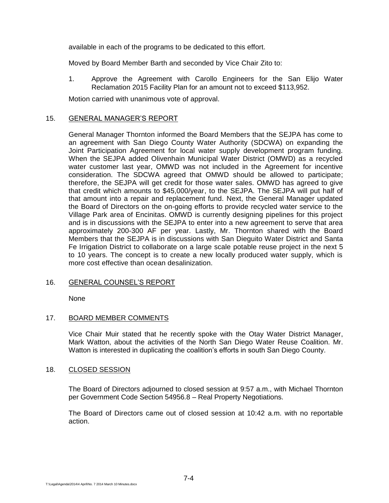available in each of the programs to be dedicated to this effort.

Moved by Board Member Barth and seconded by Vice Chair Zito to:

1. Approve the Agreement with Carollo Engineers for the San Elijo Water Reclamation 2015 Facility Plan for an amount not to exceed \$113,952.

Motion carried with unanimous vote of approval.

## 15. GENERAL MANAGER'S REPORT

General Manager Thornton informed the Board Members that the SEJPA has come to an agreement with San Diego County Water Authority (SDCWA) on expanding the Joint Participation Agreement for local water supply development program funding. When the SEJPA added Olivenhain Municipal Water District (OMWD) as a recycled water customer last year, OMWD was not included in the Agreement for incentive consideration. The SDCWA agreed that OMWD should be allowed to participate; therefore, the SEJPA will get credit for those water sales. OMWD has agreed to give that credit which amounts to \$45,000/year, to the SEJPA. The SEJPA will put half of that amount into a repair and replacement fund. Next, the General Manager updated the Board of Directors on the on-going efforts to provide recycled water service to the Village Park area of Encinitas. OMWD is currently designing pipelines for this project and is in discussions with the SEJPA to enter into a new agreement to serve that area approximately 200-300 AF per year. Lastly, Mr. Thornton shared with the Board Members that the SEJPA is in discussions with San Dieguito Water District and Santa Fe Irrigation District to collaborate on a large scale potable reuse project in the next 5 to 10 years. The concept is to create a new locally produced water supply, which is more cost effective than ocean desalinization.

# 16. GENERAL COUNSEL'S REPORT

None

#### 17. BOARD MEMBER COMMENTS

Vice Chair Muir stated that he recently spoke with the Otay Water District Manager, Mark Watton, about the activities of the North San Diego Water Reuse Coalition. Mr. Watton is interested in duplicating the coalition's efforts in south San Diego County.

#### 18. CLOSED SESSION

The Board of Directors adjourned to closed session at 9:57 a.m., with Michael Thornton per Government Code Section 54956.8 – Real Property Negotiations.

The Board of Directors came out of closed session at 10:42 a.m. with no reportable action.